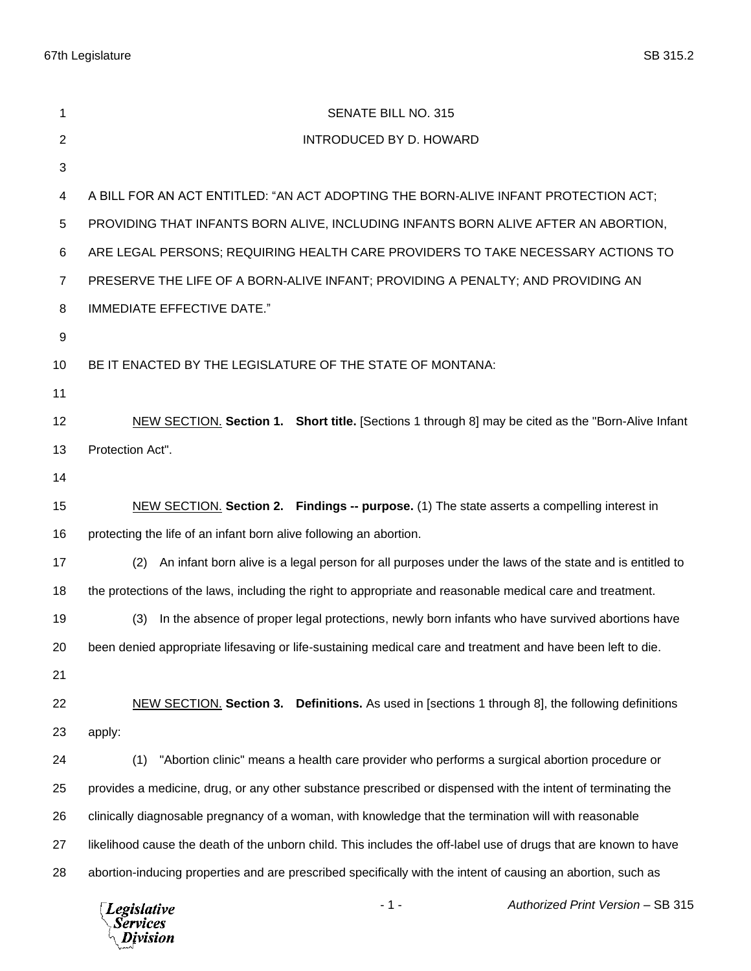67th Legislature SB 315.2

| 1                | SENATE BILL NO. 315                                                                                             |
|------------------|-----------------------------------------------------------------------------------------------------------------|
| $\overline{2}$   | <b>INTRODUCED BY D. HOWARD</b>                                                                                  |
| 3                |                                                                                                                 |
| 4                | A BILL FOR AN ACT ENTITLED: "AN ACT ADOPTING THE BORN-ALIVE INFANT PROTECTION ACT;                              |
| 5                | PROVIDING THAT INFANTS BORN ALIVE, INCLUDING INFANTS BORN ALIVE AFTER AN ABORTION,                              |
| 6                | ARE LEGAL PERSONS; REQUIRING HEALTH CARE PROVIDERS TO TAKE NECESSARY ACTIONS TO                                 |
| $\overline{7}$   | PRESERVE THE LIFE OF A BORN-ALIVE INFANT; PROVIDING A PENALTY; AND PROVIDING AN                                 |
| 8                | <b>IMMEDIATE EFFECTIVE DATE."</b>                                                                               |
| $\boldsymbol{9}$ |                                                                                                                 |
| 10               | BE IT ENACTED BY THE LEGISLATURE OF THE STATE OF MONTANA:                                                       |
| 11               |                                                                                                                 |
| 12               | NEW SECTION. Section 1. Short title. [Sections 1 through 8] may be cited as the "Born-Alive Infant              |
| 13               | Protection Act".                                                                                                |
| 14               |                                                                                                                 |
| 15               | NEW SECTION. Section 2. Findings -- purpose. (1) The state asserts a compelling interest in                     |
| 16               | protecting the life of an infant born alive following an abortion.                                              |
| 17               | An infant born alive is a legal person for all purposes under the laws of the state and is entitled to<br>(2)   |
| 18               | the protections of the laws, including the right to appropriate and reasonable medical care and treatment.      |
| 19               | In the absence of proper legal protections, newly born infants who have survived abortions have<br>(3)          |
| 20               | been denied appropriate lifesaving or life-sustaining medical care and treatment and have been left to die.     |
| 21               |                                                                                                                 |
| 22               | NEW SECTION. Section 3. Definitions. As used in [sections 1 through 8], the following definitions               |
| 23               | apply:                                                                                                          |
| 24               | "Abortion clinic" means a health care provider who performs a surgical abortion procedure or<br>(1)             |
| 25               | provides a medicine, drug, or any other substance prescribed or dispensed with the intent of terminating the    |
| 26               | clinically diagnosable pregnancy of a woman, with knowledge that the termination will with reasonable           |
| 27               | likelihood cause the death of the unborn child. This includes the off-label use of drugs that are known to have |
| 28               | abortion-inducing properties and are prescribed specifically with the intent of causing an abortion, such as    |
|                  | Authorized Print Version - SB 315<br>$-1-$<br><b>Legislative</b><br><b>Services</b><br>Division                 |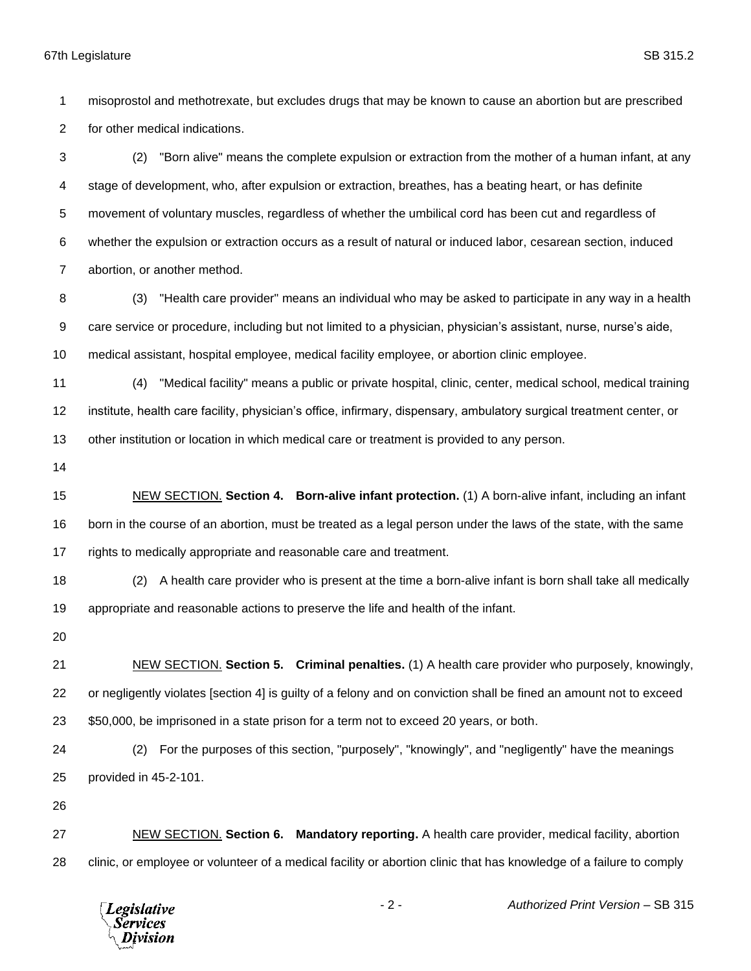misoprostol and methotrexate, but excludes drugs that may be known to cause an abortion but are prescribed for other medical indications.

 (2) "Born alive" means the complete expulsion or extraction from the mother of a human infant, at any stage of development, who, after expulsion or extraction, breathes, has a beating heart, or has definite movement of voluntary muscles, regardless of whether the umbilical cord has been cut and regardless of whether the expulsion or extraction occurs as a result of natural or induced labor, cesarean section, induced abortion, or another method.

 (3) "Health care provider" means an individual who may be asked to participate in any way in a health care service or procedure, including but not limited to a physician, physician's assistant, nurse, nurse's aide, medical assistant, hospital employee, medical facility employee, or abortion clinic employee.

 (4) "Medical facility" means a public or private hospital, clinic, center, medical school, medical training institute, health care facility, physician's office, infirmary, dispensary, ambulatory surgical treatment center, or other institution or location in which medical care or treatment is provided to any person.

 NEW SECTION. **Section 4. Born-alive infant protection.** (1) A born-alive infant, including an infant born in the course of an abortion, must be treated as a legal person under the laws of the state, with the same rights to medically appropriate and reasonable care and treatment.

 (2) A health care provider who is present at the time a born-alive infant is born shall take all medically appropriate and reasonable actions to preserve the life and health of the infant.

 NEW SECTION. **Section 5. Criminal penalties.** (1) A health care provider who purposely, knowingly, or negligently violates [section 4] is guilty of a felony and on conviction shall be fined an amount not to exceed \$50,000, be imprisoned in a state prison for a term not to exceed 20 years, or both.

 (2) For the purposes of this section, "purposely", "knowingly", and "negligently" have the meanings provided in 45-2-101.

 NEW SECTION. **Section 6. Mandatory reporting.** A health care provider, medical facility, abortion clinic, or employee or volunteer of a medical facility or abortion clinic that has knowledge of a failure to comply